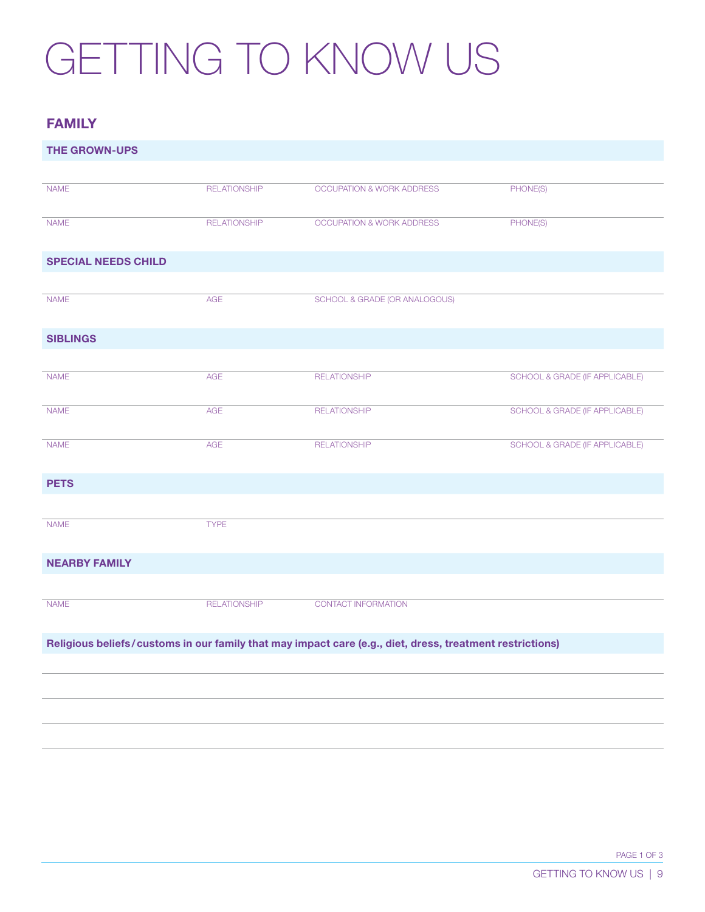## GETTING TO KNOW US

## FAMILY

| <b>THE GROWN-UPS</b>                                                                                     |                     |                                      |                                |  |
|----------------------------------------------------------------------------------------------------------|---------------------|--------------------------------------|--------------------------------|--|
|                                                                                                          |                     |                                      |                                |  |
| <b>NAME</b>                                                                                              | <b>RELATIONSHIP</b> | OCCUPATION & WORK ADDRESS            | PHONE(S)                       |  |
| <b>NAME</b>                                                                                              | <b>RELATIONSHIP</b> | <b>OCCUPATION &amp; WORK ADDRESS</b> | PHONE(S)                       |  |
| <b>SPECIAL NEEDS CHILD</b>                                                                               |                     |                                      |                                |  |
|                                                                                                          |                     |                                      |                                |  |
| <b>NAME</b>                                                                                              | <b>AGE</b>          | SCHOOL & GRADE (OR ANALOGOUS)        |                                |  |
| <b>SIBLINGS</b>                                                                                          |                     |                                      |                                |  |
|                                                                                                          |                     |                                      |                                |  |
| <b>NAME</b>                                                                                              | AGE                 | <b>RELATIONSHIP</b>                  | SCHOOL & GRADE (IF APPLICABLE) |  |
| <b>NAME</b>                                                                                              | AGE                 | <b>RELATIONSHIP</b>                  | SCHOOL & GRADE (IF APPLICABLE) |  |
| <b>NAME</b>                                                                                              | <b>AGE</b>          | <b>RELATIONSHIP</b>                  | SCHOOL & GRADE (IF APPLICABLE) |  |
| <b>PETS</b>                                                                                              |                     |                                      |                                |  |
|                                                                                                          |                     |                                      |                                |  |
| <b>NAME</b>                                                                                              | <b>TYPE</b>         |                                      |                                |  |
| <b>NEARBY FAMILY</b>                                                                                     |                     |                                      |                                |  |
|                                                                                                          |                     |                                      |                                |  |
| <b>NAME</b>                                                                                              | <b>RELATIONSHIP</b> | CONTACT INFORMATION                  |                                |  |
| Religious beliefs/customs in our family that may impact care (e.g., diet, dress, treatment restrictions) |                     |                                      |                                |  |
|                                                                                                          |                     |                                      |                                |  |
|                                                                                                          |                     |                                      |                                |  |
|                                                                                                          |                     |                                      |                                |  |
|                                                                                                          |                     |                                      |                                |  |
|                                                                                                          |                     |                                      |                                |  |

PAGE 1 OF 3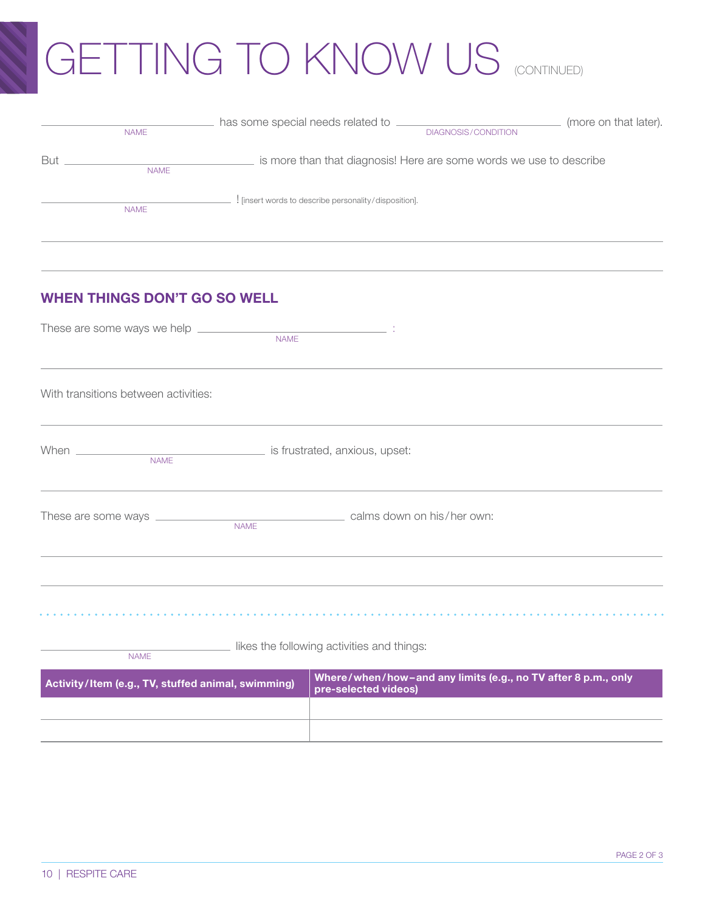## GETTING TO KNOW US (CONTINUED)

|            | <b>NAME</b> | has some special needs related to<br>DIAGNOSIS/CONDITION            | (more on that later). |
|------------|-------------|---------------------------------------------------------------------|-----------------------|
| <b>But</b> | <b>NAME</b> | is more than that diagnosis! Here are some words we use to describe |                       |
|            | <b>NAME</b> | ! [insert words to describe personality/disposition].               |                       |

## WHEN THINGS DON'T GO SO WELL

| With transitions between activities:                      |                                                                                       |
|-----------------------------------------------------------|---------------------------------------------------------------------------------------|
|                                                           |                                                                                       |
|                                                           |                                                                                       |
|                                                           |                                                                                       |
| likes the following activities and things:<br><b>NAME</b> |                                                                                       |
| Activity/Item (e.g., TV, stuffed animal, swimming)        | Where/when/how-and any limits (e.g., no TV after 8 p.m., only<br>pre-selected videos) |